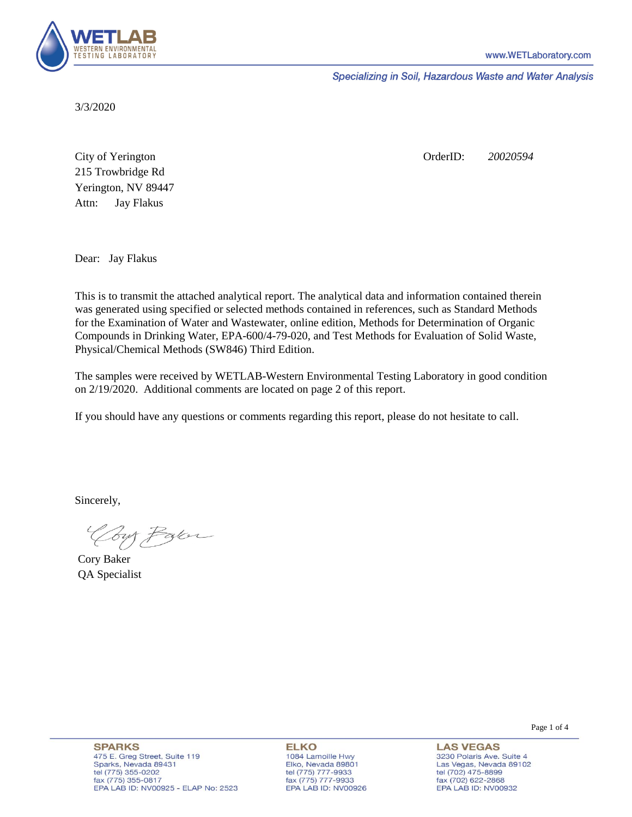

Specializing in Soil, Hazardous Waste and Water Analysis

3/3/2020

Attn: City of Yerington 215 Trowbridge Rd Jay Flakus Yerington, NV 89447 OrderID: *20020594*

Dear: Jay Flakus

This is to transmit the attached analytical report. The analytical data and information contained therein was generated using specified or selected methods contained in references, such as Standard Methods for the Examination of Water and Wastewater, online edition, Methods for Determination of Organic Compounds in Drinking Water, EPA-600/4-79-020, and Test Methods for Evaluation of Solid Waste, Physical/Chemical Methods (SW846) Third Edition.

The samples were received by WETLAB-Western Environmental Testing Laboratory in good condition on 2/19/2020. Additional comments are located on page 2 of this report.

If you should have any questions or comments regarding this report, please do not hesitate to call.

Sincerely,

Your Parce

Cory Baker QA Specialist

Page 1 of 4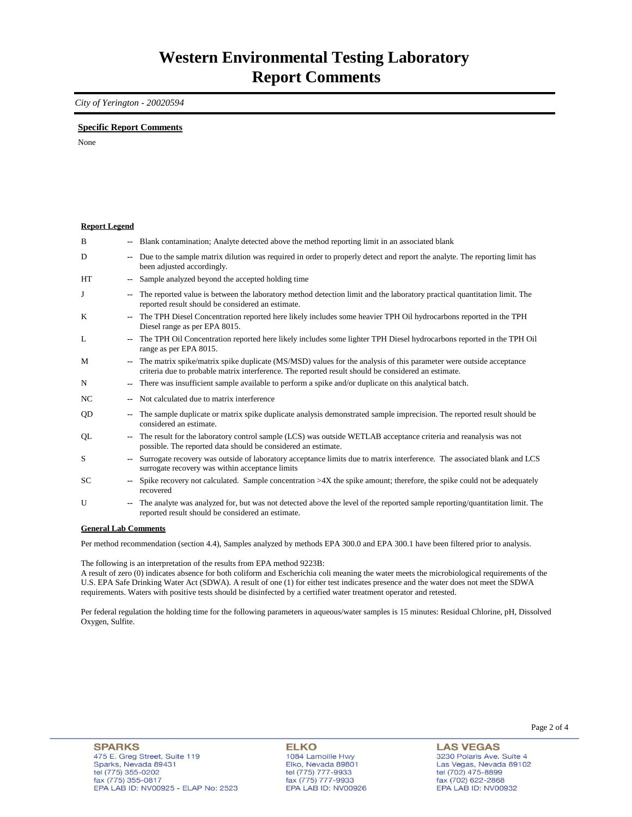## *City of Yerington - 20020594*

## **Specific Report Comments**

None

| <b>Report Legend</b>  |                |                                                                                                                                                                                                                           |
|-----------------------|----------------|---------------------------------------------------------------------------------------------------------------------------------------------------------------------------------------------------------------------------|
| B                     |                | Blank contamination; Analyte detected above the method reporting limit in an associated blank                                                                                                                             |
| D                     | ۰.             | Due to the sample matrix dilution was required in order to properly detect and report the analyte. The reporting limit has<br>been adjusted accordingly.                                                                  |
| <b>HT</b>             |                | Sample analyzed beyond the accepted holding time                                                                                                                                                                          |
| J                     | --             | The reported value is between the laboratory method detection limit and the laboratory practical quantitation limit. The<br>reported result should be considered an estimate.                                             |
| K                     |                | The TPH Diesel Concentration reported here likely includes some heavier TPH Oil hydrocarbons reported in the TPH<br>Diesel range as per EPA 8015.                                                                         |
| L                     | ۰.             | The TPH Oil Concentration reported here likely includes some lighter TPH Diesel hydrocarbons reported in the TPH Oil<br>range as per EPA 8015.                                                                            |
| M                     | --             | The matrix spike/matrix spike duplicate (MS/MSD) values for the analysis of this parameter were outside acceptance<br>criteria due to probable matrix interference. The reported result should be considered an estimate. |
| N                     | ۰.             | There was insufficient sample available to perform a spike and/or duplicate on this analytical batch.                                                                                                                     |
| NC.                   |                | Not calculated due to matrix interference                                                                                                                                                                                 |
| QD                    | ۰.             | The sample duplicate or matrix spike duplicate analysis demonstrated sample imprecision. The reported result should be<br>considered an estimate.                                                                         |
| QL                    | ۰.             | The result for the laboratory control sample (LCS) was outside WETLAB acceptance criteria and reanalysis was not<br>possible. The reported data should be considered an estimate.                                         |
| S                     | $\overline{a}$ | Surrogate recovery was outside of laboratory acceptance limits due to matrix interference. The associated blank and LCS<br>surrogate recovery was within acceptance limits                                                |
| <b>SC</b>             | ۰.             | Spike recovery not calculated. Sample concentration $>4X$ the spike amount; therefore, the spike could not be adequately<br>recovered                                                                                     |
| U                     | ۰.             | The analyte was analyzed for, but was not detected above the level of the reported sample reporting/quantitation limit. The<br>reported result should be considered an estimate.                                          |
| Conoral I ah Commonte |                |                                                                                                                                                                                                                           |

**General Lab Comments**

Per method recommendation (section 4.4), Samples analyzed by methods EPA 300.0 and EPA 300.1 have been filtered prior to analysis.

The following is an interpretation of the results from EPA method 9223B:

A result of zero (0) indicates absence for both coliform and Escherichia coli meaning the water meets the microbiological requirements of the U.S. EPA Safe Drinking Water Act (SDWA). A result of one (1) for either test indicates presence and the water does not meet the SDWA requirements. Waters with positive tests should be disinfected by a certified water treatment operator and retested.

Per federal regulation the holding time for the following parameters in aqueous/water samples is 15 minutes: Residual Chlorine, pH, Dissolved Oxygen, Sulfite.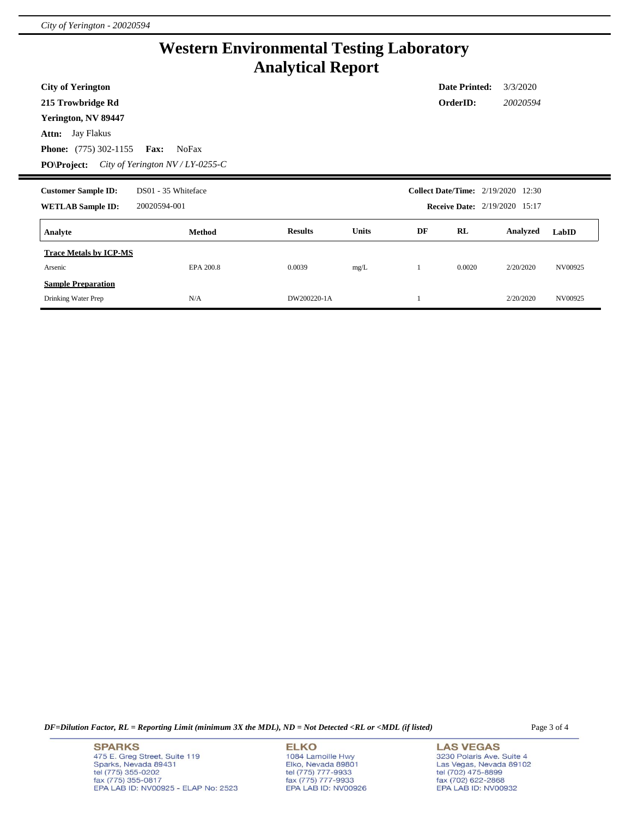## **Western Environmental Testing Laboratory Analytical Report**

| <b>City of Yerington</b>                                               |                     |                |              |    | <b>Date Printed:</b> | 3/3/2020                                                                          |         |
|------------------------------------------------------------------------|---------------------|----------------|--------------|----|----------------------|-----------------------------------------------------------------------------------|---------|
| 215 Trowbridge Rd                                                      |                     |                |              |    | OrderID:             | 20020594                                                                          |         |
| Yerington, NV 89447                                                    |                     |                |              |    |                      |                                                                                   |         |
| <b>Attn:</b> Jay Flakus                                                |                     |                |              |    |                      |                                                                                   |         |
| <b>Phone:</b> (775) 302-1155<br><b>Fax:</b>                            | NoFax               |                |              |    |                      |                                                                                   |         |
| <b>PO\Project:</b><br>City of Yerington $NV/LY$ -0255-C                |                     |                |              |    |                      |                                                                                   |         |
| <b>Customer Sample ID:</b><br><b>WETLAB Sample ID:</b><br>20020594-001 | DS01 - 35 Whiteface |                |              |    |                      | <b>Collect Date/Time:</b> 2/19/2020 12:30<br><b>Receive Date:</b> 2/19/2020 15:17 |         |
| Analyte                                                                | <b>Method</b>       | <b>Results</b> | <b>Units</b> | DF | RL                   | Analyzed                                                                          | LabID   |
| <b>Trace Metals by ICP-MS</b>                                          |                     |                |              |    |                      |                                                                                   |         |
| Arsenic                                                                | EPA 200.8           | 0.0039         | mg/L         |    | 0.0020               | 2/20/2020                                                                         | NV00925 |
| <b>Sample Preparation</b>                                              |                     |                |              |    |                      |                                                                                   |         |
| Drinking Water Prep                                                    | N/A                 | DW200220-1A    |              |    |                      | 2/20/2020                                                                         | NV00925 |

*DF=Dilution Factor, RL = Reporting Limit (minimum 3X the MDL), ND = Not Detected <RL or <MDL (if listed)* Page 3 of 4

**SPARKS** 475 E. Greg Street, Suite 119 -170 L. Clieg Offer, Olite 119<br>Sparks, Nevada 89431<br>tel (775) 355-0202<br>fax (775) 355-0817<br>EPA LAB ID: NV00925 - ELAP No: 2523

**ELKO** 1084 Lamoille Hwy Polyton, Nevada 89801<br>tel (775) 777-9933<br>fax (775) 777-9933<br>EPA LAB ID: NV00926

**LAS VEGAS** 3230 Polaris Ave. Suite 4 Las Vegas, Nevada 89102<br>tel (702) 475-8899<br>fax (702) 622-2868<br>EPA LAB ID: NV00932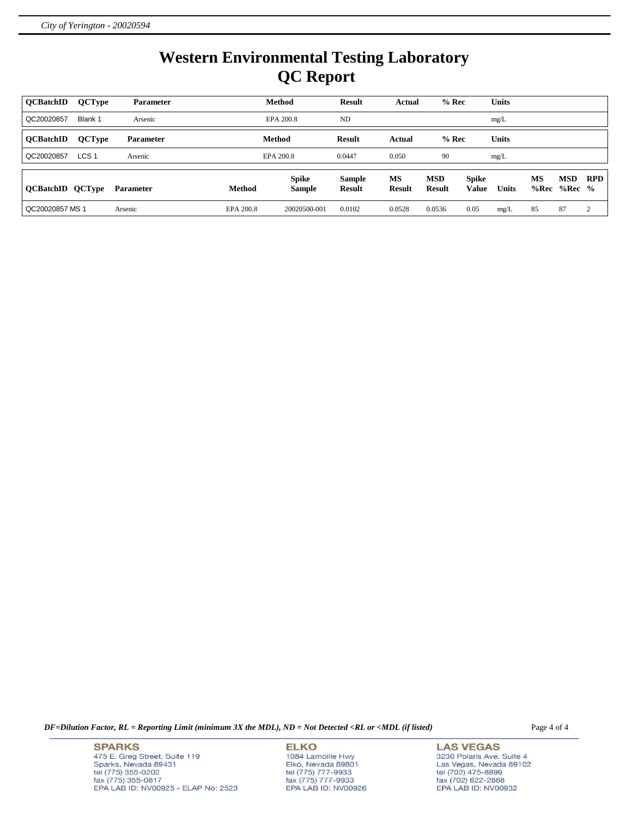## **Western Environmental Testing Laboratory QC Report**

| <b>OCBatchID</b>        | <b>QCType</b>    | <b>Parameter</b> |           | <b>Method</b>                 | <b>Result</b>                  | Actual                     | $%$ Rec                     |                              | <b>Units</b> |                   |                        |            |
|-------------------------|------------------|------------------|-----------|-------------------------------|--------------------------------|----------------------------|-----------------------------|------------------------------|--------------|-------------------|------------------------|------------|
| QC20020857              | Blank 1          | Arsenic          |           | EPA 200.8                     | ND.                            |                            |                             |                              | mg/L         |                   |                        |            |
| <b>OCBatchID</b>        | <b>QCType</b>    | <b>Parameter</b> |           | Method                        | <b>Result</b>                  | Actual                     | $%$ Rec                     |                              | <b>Units</b> |                   |                        |            |
| QC20020857              | LCS <sub>1</sub> | Arsenic          |           | EPA 200.8                     | 0.0447                         | 0.050                      | 90                          |                              | mg/L         |                   |                        |            |
| <b>QCBatchID QCType</b> |                  | <b>Parameter</b> | Method    | <b>Spike</b><br><b>Sample</b> | <b>Sample</b><br><b>Result</b> | <b>MS</b><br><b>Result</b> | <b>MSD</b><br><b>Result</b> | <b>Spike</b><br><b>Value</b> | <b>Units</b> | <b>MS</b><br>%Rec | <b>MSD</b><br>$%Rec$ % | <b>RPD</b> |
| QC20020857 MS 1         |                  | Arsenic          | EPA 200.8 | 20020500-001                  | 0.0102                         | 0.0528                     | 0.0536                      | 0.05                         | mg/L         | 85                | 87                     | 2          |

*DF=Dilution Factor, RL = Reporting Limit (minimum 3X the MDL), ND = Not Detected <RL or <MDL (if listed)* Page 4 of 4

**SPARKS** 475 E. Greg Street, Suite 119 Sparks, Nevada 89431<br>tel (775) 355-0202<br>fax (775) 355-0817 EPA LAB ID: NV00925 - ELAP No: 2523

**ELKO** 1084 Lamoille Hwy Polyton, Nevada 89801<br>tel (775) 777-9933<br>fax (775) 777-9933<br>EPA LAB ID: NV00926

**LAS VEGAS** 3230 Polaris Ave. Suite 4 Las Vegas, Nevada 89102<br>tel (702) 475-8899<br>fax (702) 622-2868<br>EPA LAB ID: NV00932